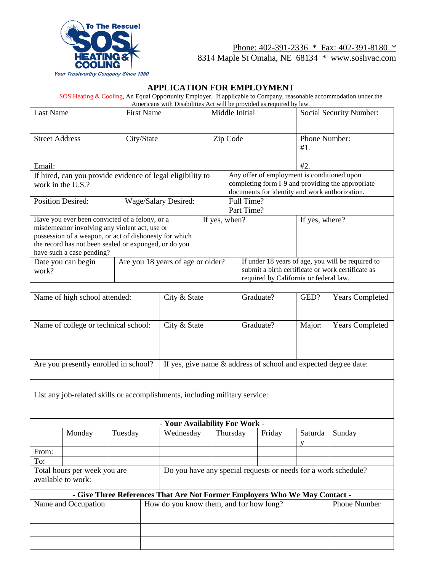

## Phone: 402-391-2336 \* Fax: 402-391-8180 \* 8314 Maple St Omaha, NE 68134 \* www.soshvac.com

## **APPLICATION FOR EMPLOYMENT**

SOS Heating & Cooling, An Equal Opportunity Employer. If applicable to Company, reasonable accommodation under the

|                                                                            |                                                                             | Americans with Disabilities Act will be provided as required by law. |                   |                                                                |                |                          |                                                                                                     |        |                                                   |                                                                 |  |  |
|----------------------------------------------------------------------------|-----------------------------------------------------------------------------|----------------------------------------------------------------------|-------------------|----------------------------------------------------------------|----------------|--------------------------|-----------------------------------------------------------------------------------------------------|--------|---------------------------------------------------|-----------------------------------------------------------------|--|--|
| <b>Last Name</b>                                                           |                                                                             |                                                                      | <b>First Name</b> |                                                                | Middle Initial |                          |                                                                                                     |        | Social Security Number:                           |                                                                 |  |  |
|                                                                            |                                                                             |                                                                      |                   |                                                                |                |                          |                                                                                                     |        |                                                   |                                                                 |  |  |
|                                                                            |                                                                             |                                                                      |                   |                                                                |                |                          |                                                                                                     |        |                                                   |                                                                 |  |  |
| <b>Street Address</b>                                                      |                                                                             |                                                                      | City/State        |                                                                |                | Zip Code                 |                                                                                                     |        | Phone Number:                                     |                                                                 |  |  |
|                                                                            |                                                                             |                                                                      |                   |                                                                |                |                          |                                                                                                     | #1.    |                                                   |                                                                 |  |  |
|                                                                            |                                                                             |                                                                      |                   |                                                                |                |                          |                                                                                                     |        |                                                   |                                                                 |  |  |
| Email:                                                                     |                                                                             |                                                                      |                   |                                                                |                |                          |                                                                                                     | #2.    |                                                   |                                                                 |  |  |
|                                                                            |                                                                             |                                                                      |                   | If hired, can you provide evidence of legal eligibility to     |                |                          | Any offer of employment is conditioned upon                                                         |        |                                                   |                                                                 |  |  |
| work in the U.S.?                                                          |                                                                             |                                                                      |                   |                                                                |                |                          | completing form I-9 and providing the appropriate<br>documents for identity and work authorization. |        |                                                   |                                                                 |  |  |
|                                                                            |                                                                             |                                                                      |                   | Wage/Salary Desired:                                           |                |                          |                                                                                                     |        |                                                   |                                                                 |  |  |
| <b>Position Desired:</b>                                                   |                                                                             |                                                                      |                   |                                                                |                | Full Time?<br>Part Time? |                                                                                                     |        |                                                   |                                                                 |  |  |
|                                                                            | Have you ever been convicted of a felony, or a                              |                                                                      |                   |                                                                |                |                          |                                                                                                     |        |                                                   | If yes, where?                                                  |  |  |
|                                                                            | misdemeanor involving any violent act, use or                               |                                                                      |                   |                                                                |                | If yes, when?            |                                                                                                     |        |                                                   |                                                                 |  |  |
|                                                                            | possession of a weapon, or act of dishonesty for which                      |                                                                      |                   |                                                                |                |                          |                                                                                                     |        |                                                   |                                                                 |  |  |
|                                                                            | the record has not been sealed or expunged, or do you                       |                                                                      |                   |                                                                |                |                          |                                                                                                     |        |                                                   |                                                                 |  |  |
|                                                                            | have such a case pending?                                                   |                                                                      |                   |                                                                |                |                          |                                                                                                     |        |                                                   |                                                                 |  |  |
|                                                                            | Date you can begin                                                          |                                                                      |                   | Are you 18 years of age or older?                              |                |                          |                                                                                                     |        | If under 18 years of age, you will be required to |                                                                 |  |  |
| work?                                                                      |                                                                             |                                                                      |                   |                                                                |                |                          |                                                                                                     |        | submit a birth certificate or work certificate as |                                                                 |  |  |
|                                                                            |                                                                             |                                                                      |                   |                                                                |                |                          | required by California or federal law.                                                              |        |                                                   |                                                                 |  |  |
|                                                                            |                                                                             |                                                                      |                   |                                                                |                |                          |                                                                                                     |        |                                                   |                                                                 |  |  |
|                                                                            | Name of high school attended:                                               |                                                                      |                   | City & State                                                   |                |                          | Graduate?                                                                                           |        | GED?                                              | <b>Years Completed</b>                                          |  |  |
|                                                                            |                                                                             |                                                                      |                   |                                                                |                |                          |                                                                                                     |        |                                                   |                                                                 |  |  |
|                                                                            |                                                                             |                                                                      |                   |                                                                |                |                          |                                                                                                     |        |                                                   |                                                                 |  |  |
|                                                                            | Name of college or technical school:                                        |                                                                      | City & State      |                                                                |                |                          | Graduate?                                                                                           |        | Major:                                            | <b>Years Completed</b>                                          |  |  |
|                                                                            |                                                                             |                                                                      |                   |                                                                |                |                          |                                                                                                     |        |                                                   |                                                                 |  |  |
|                                                                            |                                                                             |                                                                      |                   |                                                                |                |                          |                                                                                                     |        |                                                   |                                                                 |  |  |
|                                                                            |                                                                             |                                                                      |                   |                                                                |                |                          |                                                                                                     |        |                                                   |                                                                 |  |  |
|                                                                            | Are you presently enrolled in school?                                       |                                                                      |                   |                                                                |                |                          |                                                                                                     |        |                                                   | If yes, give name & address of school and expected degree date: |  |  |
|                                                                            |                                                                             |                                                                      |                   |                                                                |                |                          |                                                                                                     |        |                                                   |                                                                 |  |  |
|                                                                            |                                                                             |                                                                      |                   |                                                                |                |                          |                                                                                                     |        |                                                   |                                                                 |  |  |
|                                                                            | List any job-related skills or accomplishments, including military service: |                                                                      |                   |                                                                |                |                          |                                                                                                     |        |                                                   |                                                                 |  |  |
|                                                                            |                                                                             |                                                                      |                   |                                                                |                |                          |                                                                                                     |        |                                                   |                                                                 |  |  |
|                                                                            |                                                                             |                                                                      |                   |                                                                |                |                          |                                                                                                     |        |                                                   |                                                                 |  |  |
|                                                                            |                                                                             |                                                                      |                   | - Your Availability For Work -                                 |                |                          |                                                                                                     |        |                                                   |                                                                 |  |  |
|                                                                            |                                                                             |                                                                      |                   |                                                                |                |                          |                                                                                                     | Friday |                                                   |                                                                 |  |  |
|                                                                            | Monday                                                                      | Tuesday                                                              |                   | Wednesday                                                      |                | Thursday                 |                                                                                                     |        | Saturda                                           | Sunday                                                          |  |  |
|                                                                            |                                                                             |                                                                      |                   |                                                                |                |                          |                                                                                                     |        | У                                                 |                                                                 |  |  |
| From:                                                                      |                                                                             |                                                                      |                   |                                                                |                |                          |                                                                                                     |        |                                                   |                                                                 |  |  |
| To:                                                                        |                                                                             |                                                                      |                   |                                                                |                |                          |                                                                                                     |        |                                                   |                                                                 |  |  |
| Total hours per week you are                                               |                                                                             |                                                                      |                   | Do you have any special requests or needs for a work schedule? |                |                          |                                                                                                     |        |                                                   |                                                                 |  |  |
| available to work:                                                         |                                                                             |                                                                      |                   |                                                                |                |                          |                                                                                                     |        |                                                   |                                                                 |  |  |
| - Give Three References That Are Not Former Employers Who We May Contact - |                                                                             |                                                                      |                   |                                                                |                |                          |                                                                                                     |        |                                                   |                                                                 |  |  |
| Name and Occupation                                                        |                                                                             |                                                                      |                   | How do you know them, and for how long?                        |                |                          |                                                                                                     |        |                                                   | Phone Number                                                    |  |  |
|                                                                            |                                                                             |                                                                      |                   |                                                                |                |                          |                                                                                                     |        |                                                   |                                                                 |  |  |
|                                                                            |                                                                             |                                                                      |                   |                                                                |                |                          |                                                                                                     |        |                                                   |                                                                 |  |  |
|                                                                            |                                                                             |                                                                      |                   |                                                                |                |                          |                                                                                                     |        |                                                   |                                                                 |  |  |
|                                                                            |                                                                             |                                                                      |                   |                                                                |                |                          |                                                                                                     |        |                                                   |                                                                 |  |  |